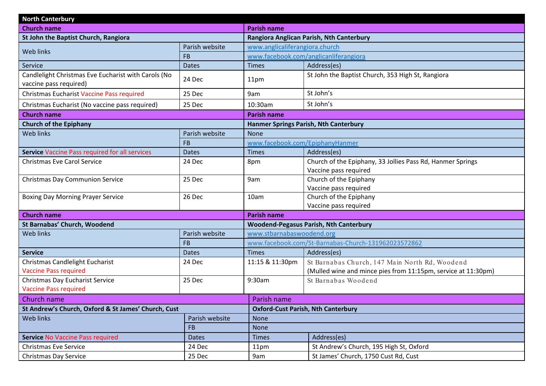| <b>North Canterbury</b>                                                       |                |                                 |                                                                                     |  |
|-------------------------------------------------------------------------------|----------------|---------------------------------|-------------------------------------------------------------------------------------|--|
| <b>Church name</b>                                                            |                | <b>Parish name</b>              |                                                                                     |  |
| St John the Baptist Church, Rangiora                                          |                |                                 | Rangiora Anglican Parish, Nth Canterbury                                            |  |
| Web links                                                                     | Parish website |                                 | www.anglicaliferangiora.church                                                      |  |
|                                                                               | <b>FB</b>      |                                 | www.facebook.com/anglicanliferangiora                                               |  |
| Service                                                                       | <b>Dates</b>   | <b>Times</b>                    | Address(es)                                                                         |  |
| Candlelight Christmas Eve Eucharist with Carols (No<br>vaccine pass required) | 24 Dec         | 11pm                            | St John the Baptist Church, 353 High St, Rangiora                                   |  |
| Christmas Eucharist Vaccine Pass required                                     | 25 Dec         | 9am                             | St John's                                                                           |  |
| Christmas Eucharist (No vaccine pass required)                                | 25 Dec         | 10:30am                         | St John's                                                                           |  |
| <b>Church name</b>                                                            |                | <b>Parish name</b>              |                                                                                     |  |
| <b>Church of the Epiphany</b>                                                 |                |                                 | <b>Hanmer Springs Parish, Nth Canterbury</b>                                        |  |
| Web links                                                                     | Parish website | <b>None</b>                     |                                                                                     |  |
|                                                                               | <b>FB</b>      | www.facebook.com/EpiphanyHanmer |                                                                                     |  |
| Service Vaccine Pass required for all services                                | <b>Dates</b>   | <b>Times</b>                    | Address(es)                                                                         |  |
| <b>Christmas Eve Carol Service</b>                                            | 24 Dec         | 8pm                             | Church of the Epiphany, 33 Jollies Pass Rd, Hanmer Springs<br>Vaccine pass required |  |
| Christmas Day Communion Service                                               | 25 Dec         | 9am                             | Church of the Epiphany                                                              |  |
|                                                                               |                |                                 | Vaccine pass required                                                               |  |
| <b>Boxing Day Morning Prayer Service</b>                                      | 26 Dec         | 10am                            | Church of the Epiphany                                                              |  |
|                                                                               |                |                                 | Vaccine pass required                                                               |  |
| <b>Church name</b>                                                            |                | <b>Parish name</b>              |                                                                                     |  |
| St Barnabas' Church, Woodend<br><b>Web links</b>                              | Parish website | www.stbarnabaswoodend.org       | <b>Woodend-Pegasus Parish, Nth Canterbury</b>                                       |  |
|                                                                               | <b>FB</b>      |                                 | www.facebook.com/St-Barnabas-Church-131962023572862                                 |  |
| <b>Service</b>                                                                | <b>Dates</b>   | <b>Times</b>                    | Address(es)                                                                         |  |
| Christmas Candlelight Eucharist                                               | 24 Dec         | 11:15 & 11:30pm                 | St Barnabas Church, 147 Main North Rd, Woodend                                      |  |
| <b>Vaccine Pass required</b>                                                  |                |                                 | (Mulled wine and mince pies from 11:15pm, service at 11:30pm)                       |  |
| Christmas Day Eucharist Service                                               | 25 Dec         | 9:30am                          | St Barnabas Woodend                                                                 |  |
| <b>Vaccine Pass required</b>                                                  |                |                                 |                                                                                     |  |
| Church name                                                                   |                | Parish name                     |                                                                                     |  |
| St Andrew's Church, Oxford & St James' Church, Cust                           |                |                                 | <b>Oxford-Cust Parish, Nth Canterbury</b>                                           |  |
| Web links                                                                     | Parish website | <b>None</b>                     |                                                                                     |  |
| <b>FB</b>                                                                     |                | <b>None</b>                     |                                                                                     |  |
| <b>Service No Vaccine Pass required</b>                                       | <b>Dates</b>   | <b>Times</b>                    | Address(es)                                                                         |  |
| <b>Christmas Eve Service</b>                                                  | 24 Dec         | 11pm                            | St Andrew's Church, 195 High St, Oxford                                             |  |
| Christmas Day Service                                                         | 25 Dec         | 9am                             | St James' Church, 1750 Cust Rd, Cust                                                |  |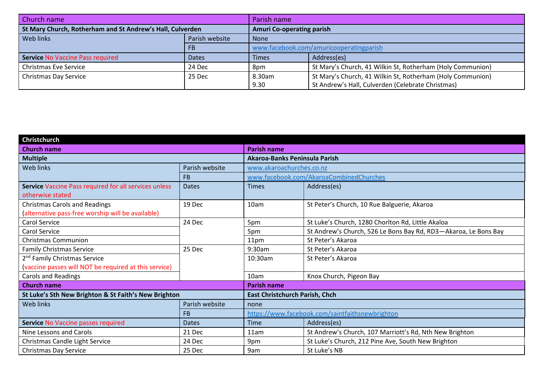| Church name                                               |                | Parish name                             |                                                            |
|-----------------------------------------------------------|----------------|-----------------------------------------|------------------------------------------------------------|
| St Mary Church, Rotherham and St Andrew's Hall, Culverden |                | <b>Amuri Co-operating parish</b>        |                                                            |
| Web links                                                 | Parish website | <b>None</b>                             |                                                            |
|                                                           | FB             | www.facebook.com/amuricooperatingparish |                                                            |
| <b>Service No Vaccine Pass required</b>                   | <b>Dates</b>   | Times                                   | Address(es)                                                |
| <b>Christmas Eve Service</b>                              | 24 Dec         | 8pm                                     | St Mary's Church, 41 Wilkin St, Rotherham (Holy Communion) |
| <b>Christmas Day Service</b>                              | 25 Dec         | 8.30am                                  | St Mary's Church, 41 Wilkin St, Rotherham (Holy Communion) |
|                                                           |                | 9.30                                    | St Andrew's Hall, Culverden (Celebrate Christmas)          |

| Christchurch                                          |                |                                                 |                                                                 |
|-------------------------------------------------------|----------------|-------------------------------------------------|-----------------------------------------------------------------|
| <b>Church name</b>                                    |                | <b>Parish name</b>                              |                                                                 |
| <b>Multiple</b>                                       |                | Akaroa-Banks Peninsula Parish                   |                                                                 |
| Web links                                             | Parish website | www.akaroachurches.co.nz                        |                                                                 |
|                                                       | <b>FB</b>      |                                                 | www.facebook.com/AkaroaCombinedChurches                         |
| Service Vaccine Pass required for all services unless | <b>Dates</b>   | <b>Times</b>                                    | Address(es)                                                     |
| otherwise stated                                      |                |                                                 |                                                                 |
| <b>Christmas Carols and Readings</b>                  | 19 Dec         | 10am                                            | St Peter's Church, 10 Rue Balguerie, Akaroa                     |
| (alternative pass-free worship will be available)     |                |                                                 |                                                                 |
| Carol Service                                         | 24 Dec         | 5pm                                             | St Luke's Church, 1280 Chorlton Rd, Little Akaloa               |
| Carol Service                                         |                | 5pm                                             | St Andrew's Church, 526 Le Bons Bay Rd, RD3-Akaroa, Le Bons Bay |
| <b>Christmas Communion</b>                            |                | 11pm                                            | St Peter's Akaroa                                               |
| <b>Family Christmas Service</b>                       | 25 Dec         | 9:30am                                          | St Peter's Akaroa                                               |
| 2 <sup>nd</sup> Family Christmas Service              |                | 10:30am                                         | St Peter's Akaroa                                               |
| (vaccine passes will NOT be required at this service) |                |                                                 |                                                                 |
| <b>Carols and Readings</b>                            |                | 10am                                            | Knox Church, Pigeon Bay                                         |
| <b>Church name</b>                                    |                | <b>Parish name</b>                              |                                                                 |
| St Luke's Sth New Brighton & St Faith's New Brighton  |                | <b>East Christchurch Parish, Chch</b>           |                                                                 |
| Web links                                             | Parish website | none                                            |                                                                 |
|                                                       | <b>FB</b>      | https://www.facebook.com/saintfaithsnewbrighton |                                                                 |
| Service No Vaccine passes required                    | <b>Dates</b>   | Time                                            | Address(es)                                                     |
| Nine Lessons and Carols                               | 21 Dec         | 11am                                            | St Andrew's Church, 107 Marriott's Rd, Nth New Brighton         |
| Christmas Candle Light Service                        | 24 Dec         | 9pm                                             | St Luke's Church, 212 Pine Ave, South New Brighton              |
| Christmas Day Service                                 | 25 Dec         | 9am                                             | St Luke's NB                                                    |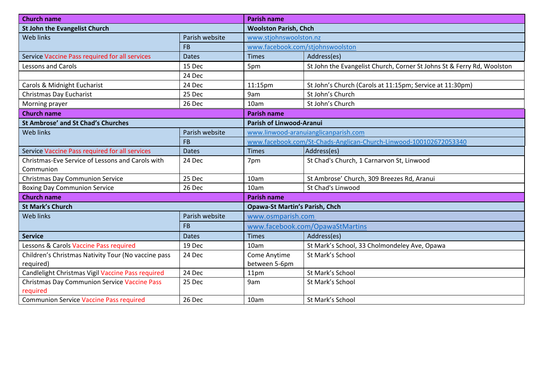| <b>Church name</b>                                  |                | <b>Parish name</b>               |                                                                        |  |
|-----------------------------------------------------|----------------|----------------------------------|------------------------------------------------------------------------|--|
| <b>St John the Evangelist Church</b>                |                | <b>Woolston Parish, Chch</b>     |                                                                        |  |
| Web links                                           | Parish website | www.stjohnswoolston.nz           |                                                                        |  |
|                                                     | <b>FB</b>      | www.facebook.com/stjohnswoolston |                                                                        |  |
| Service Vaccine Pass required for all services      | <b>Dates</b>   | <b>Times</b>                     | Address(es)                                                            |  |
| <b>Lessons and Carols</b>                           | 15 Dec         | 5pm                              | St John the Evangelist Church, Corner St Johns St & Ferry Rd, Woolston |  |
|                                                     | 24 Dec         |                                  |                                                                        |  |
| Carols & Midnight Eucharist                         | 24 Dec         | 11:15pm                          | St John's Church (Carols at 11:15pm; Service at 11:30pm)               |  |
| Christmas Day Eucharist                             | 25 Dec         | 9am                              | St John's Church                                                       |  |
| Morning prayer                                      | 26 Dec         | 10am                             | St John's Church                                                       |  |
| <b>Church name</b>                                  |                | <b>Parish name</b>               |                                                                        |  |
| <b>St Ambrose' and St Chad's Churches</b>           |                | <b>Parish of Linwood-Aranui</b>  |                                                                        |  |
| Web links                                           | Parish website |                                  | www.linwood-aranuianglicanparish.com                                   |  |
|                                                     | <b>FB</b>      |                                  | www.facebook.com/St-Chads-Anglican-Church-Linwood-100102672053340      |  |
| Service Vaccine Pass required for all services      | <b>Dates</b>   | <b>Times</b>                     | Address(es)                                                            |  |
| Christmas-Eve Service of Lessons and Carols with    | 24 Dec         | 7pm                              | St Chad's Church, 1 Carnarvon St, Linwood                              |  |
| Communion                                           |                |                                  |                                                                        |  |
| <b>Christmas Day Communion Service</b>              | 25 Dec         | 10am                             | St Ambrose' Church, 309 Breezes Rd, Aranui                             |  |
| <b>Boxing Day Communion Service</b>                 | 26 Dec         | 10am                             | St Chad's Linwood                                                      |  |
| <b>Church name</b>                                  |                | <b>Parish name</b>               |                                                                        |  |
| <b>St Mark's Church</b>                             |                |                                  | <b>Opawa-St Martin's Parish, Chch</b>                                  |  |
| <b>Web links</b>                                    | Parish website | www.osmparish.com                |                                                                        |  |
|                                                     | <b>FB</b>      |                                  | www.facebook.com/OpawaStMartins                                        |  |
| <b>Service</b>                                      | <b>Dates</b>   | <b>Times</b>                     | Address(es)                                                            |  |
| Lessons & Carols Vaccine Pass required              | 19 Dec         | 10am                             | St Mark's School, 33 Cholmondeley Ave, Opawa                           |  |
| Children's Christmas Nativity Tour (No vaccine pass | 24 Dec         | Come Anytime                     | St Mark's School                                                       |  |
| required)                                           |                | between 5-6pm                    |                                                                        |  |
| Candlelight Christmas Vigil Vaccine Pass required   | 24 Dec         | 11pm                             | St Mark's School                                                       |  |
| <b>Christmas Day Communion Service Vaccine Pass</b> | 25 Dec         | 9am                              | St Mark's School                                                       |  |
| required                                            |                |                                  |                                                                        |  |
| <b>Communion Service Vaccine Pass required</b>      | 26 Dec         | 10am                             | St Mark's School                                                       |  |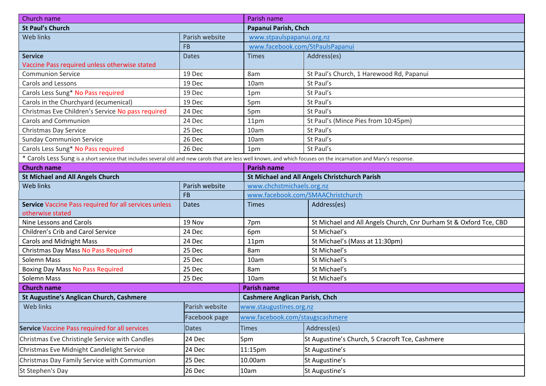| Church name                                                                                                                                                        |                | Parish name                           |                                                                   |  |
|--------------------------------------------------------------------------------------------------------------------------------------------------------------------|----------------|---------------------------------------|-------------------------------------------------------------------|--|
| <b>St Paul's Church</b>                                                                                                                                            |                |                                       | Papanui Parish, Chch                                              |  |
| Web links                                                                                                                                                          | Parish website | www.stpaulspapanui.org.nz             |                                                                   |  |
|                                                                                                                                                                    | <b>FB</b>      | www.facebook.com/StPaulsPapanui       |                                                                   |  |
| <b>Service</b>                                                                                                                                                     | <b>Dates</b>   | <b>Times</b>                          | Address(es)                                                       |  |
| Vaccine Pass required unless otherwise stated                                                                                                                      |                |                                       |                                                                   |  |
| <b>Communion Service</b>                                                                                                                                           | 19 Dec         | 8am                                   | St Paul's Church, 1 Harewood Rd, Papanui                          |  |
| <b>Carols and Lessons</b>                                                                                                                                          | 19 Dec         | 10am                                  | St Paul's                                                         |  |
| Carols Less Sung* No Pass required                                                                                                                                 | 19 Dec         | 1pm                                   | St Paul's                                                         |  |
| Carols in the Churchyard (ecumenical)                                                                                                                              | 19 Dec         | 5pm                                   | St Paul's                                                         |  |
| Christmas Eve Children's Service No pass required                                                                                                                  | 24 Dec         | 5pm                                   | St Paul's                                                         |  |
| <b>Carols and Communion</b>                                                                                                                                        | 24 Dec         | 11pm                                  | St Paul's (Mince Pies from 10:45pm)                               |  |
| Christmas Day Service                                                                                                                                              | 25 Dec         | 10am                                  | St Paul's                                                         |  |
| <b>Sunday Communion Service</b>                                                                                                                                    | 26 Dec         | 10am                                  | St Paul's                                                         |  |
| Carols Less Sung* No Pass required                                                                                                                                 | 26 Dec         | 1pm                                   | St Paul's                                                         |  |
| * Carols Less Sung is a short service that includes several old and new carols that are less well known, and which focuses on the incarnation and Mary's response. |                |                                       |                                                                   |  |
| <b>Church name</b>                                                                                                                                                 |                | <b>Parish name</b>                    |                                                                   |  |
| <b>St Michael and All Angels Church</b>                                                                                                                            |                |                                       | <b>St Michael and All Angels Christchurch Parish</b>              |  |
| <b>Web links</b>                                                                                                                                                   | Parish website |                                       | www.chchstmichaels.org.nz                                         |  |
|                                                                                                                                                                    | <b>FB</b>      |                                       | www.facebook.com/SMAAChristchurch                                 |  |
| Service Vaccine Pass required for all services unless                                                                                                              | <b>Dates</b>   | <b>Times</b>                          | Address(es)                                                       |  |
| otherwise stated                                                                                                                                                   |                |                                       |                                                                   |  |
| Nine Lessons and Carols                                                                                                                                            | 19 Nov         | 7pm                                   | St Michael and All Angels Church, Cnr Durham St & Oxford Tce, CBD |  |
| Children's Crib and Carol Service                                                                                                                                  | 24 Dec         | 6pm                                   | St Michael's                                                      |  |
| <b>Carols and Midnight Mass</b>                                                                                                                                    | 24 Dec         | 11pm                                  | St Michael's (Mass at 11:30pm)                                    |  |
| Christmas Day Mass No Pass Required                                                                                                                                | 25 Dec         | 8am                                   | St Michael's                                                      |  |
| Solemn Mass                                                                                                                                                        | 25 Dec         | 10am                                  | St Michael's                                                      |  |
| <b>Boxing Day Mass No Pass Required</b>                                                                                                                            | 25 Dec         | 8am                                   | St Michael's                                                      |  |
| Solemn Mass                                                                                                                                                        | 25 Dec         | 10am                                  | St Michael's                                                      |  |
| <b>Church name</b>                                                                                                                                                 |                | <b>Parish name</b>                    |                                                                   |  |
| <b>St Augustine's Anglican Church, Cashmere</b>                                                                                                                    |                | <b>Cashmere Anglican Parish, Chch</b> |                                                                   |  |
| Web links                                                                                                                                                          | Parish website | www.staugustines.org.nz               |                                                                   |  |
|                                                                                                                                                                    | Facebook page  |                                       | www.facebook.com/staugscashmere                                   |  |
| Service Vaccine Pass required for all services                                                                                                                     | <b>Dates</b>   | <b>Times</b>                          | Address(es)                                                       |  |
| Christmas Eve Christingle Service with Candles                                                                                                                     | 24 Dec         | 5pm                                   | St Augustine's Church, 5 Cracroft Tce, Cashmere                   |  |
| Christmas Eve Midnight Candlelight Service                                                                                                                         | 24 Dec         | 11:15pm                               | St Augustine's                                                    |  |
| Christmas Day Family Service with Communion                                                                                                                        | 25 Dec         | 10.00am                               | St Augustine's                                                    |  |
| St Stephen's Day                                                                                                                                                   | 26 Dec         | 10am                                  | St Augustine's                                                    |  |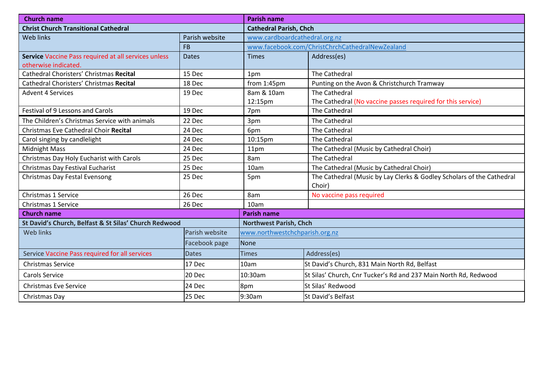| <b>Church name</b>                                    |                | <b>Parish name</b>             |                                                                       |  |
|-------------------------------------------------------|----------------|--------------------------------|-----------------------------------------------------------------------|--|
| <b>Christ Church Transitional Cathedral</b>           |                |                                | <b>Cathedral Parish, Chch</b>                                         |  |
| Web links                                             | Parish website | www.cardboardcathedral.org.nz  |                                                                       |  |
|                                                       | <b>FB</b>      |                                | www.facebook.com/ChristChrchCathedralNewZealand                       |  |
| Service Vaccine Pass required at all services unless  | <b>Dates</b>   | <b>Times</b>                   | Address(es)                                                           |  |
| otherwise indicated.                                  |                |                                |                                                                       |  |
| Cathedral Choristers' Christmas Recital               | 15 Dec         | 1pm                            | The Cathedral                                                         |  |
| Cathedral Choristers' Christmas Recital               | 18 Dec         | from 1:45pm                    | Punting on the Avon & Christchurch Tramway                            |  |
| <b>Advent 4 Services</b>                              | 19 Dec         | 8am & 10am                     | <b>The Cathedral</b>                                                  |  |
|                                                       |                | 12:15pm                        | The Cathedral (No vaccine passes required for this service)           |  |
| <b>Festival of 9 Lessons and Carols</b>               | 19 Dec         | 7pm                            | The Cathedral                                                         |  |
| The Children's Christmas Service with animals         | 22 Dec         | 3pm                            | The Cathedral                                                         |  |
| Christmas Eve Cathedral Choir Recital                 | 24 Dec         | 6pm                            | The Cathedral                                                         |  |
| Carol singing by candlelight                          | 24 Dec         | 10:15pm                        | The Cathedral                                                         |  |
| <b>Midnight Mass</b>                                  | 24 Dec         | 11pm                           | The Cathedral (Music by Cathedral Choir)                              |  |
| Christmas Day Holy Eucharist with Carols              | 25 Dec         | 8am                            | The Cathedral                                                         |  |
| Christmas Day Festival Eucharist                      | 25 Dec         | 10am                           | The Cathedral (Music by Cathedral Choir)                              |  |
| Christmas Day Festal Evensong                         | 25 Dec         | 5pm                            | The Cathedral (Music by Lay Clerks & Godley Scholars of the Cathedral |  |
|                                                       |                |                                | Choir)                                                                |  |
| Christmas 1 Service                                   | 26 Dec         | 8am                            | No vaccine pass required                                              |  |
| Christmas 1 Service                                   | 26 Dec         | 10am                           |                                                                       |  |
| <b>Church name</b>                                    |                | <b>Parish name</b>             |                                                                       |  |
| St David's Church, Belfast & St Silas' Church Redwood |                | <b>Northwest Parish, Chch</b>  |                                                                       |  |
| <b>Web links</b>                                      | Parish website | www.northwestchchparish.org.nz |                                                                       |  |
|                                                       | Facebook page  | None                           |                                                                       |  |
| Service Vaccine Pass required for all services        | <b>Dates</b>   | <b>Times</b>                   | Address(es)                                                           |  |
| <b>Christmas Service</b>                              | 17 Dec         | 10am                           | St David's Church, 831 Main North Rd, Belfast                         |  |
| <b>Carols Service</b>                                 | 20 Dec         | 10:30am                        | St Silas' Church, Cnr Tucker's Rd and 237 Main North Rd, Redwood      |  |
| <b>Christmas Eve Service</b>                          | 24 Dec         | 8pm                            | St Silas' Redwood                                                     |  |
| Christmas Day                                         | 25 Dec         | 9:30am                         | St David's Belfast                                                    |  |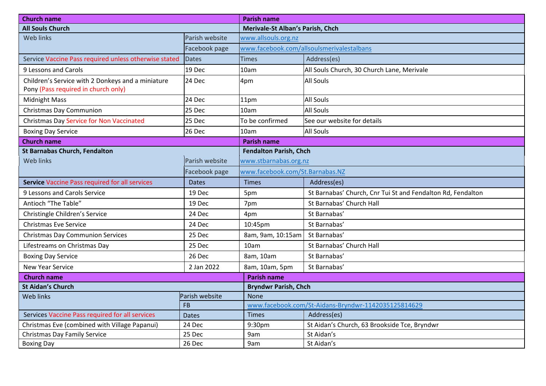| <b>Church name</b>                                                                       |                | <b>Parish name</b>                                  |                                                             |  |
|------------------------------------------------------------------------------------------|----------------|-----------------------------------------------------|-------------------------------------------------------------|--|
| <b>All Souls Church</b>                                                                  |                | <b>Merivale-St Alban's Parish, Chch</b>             |                                                             |  |
| Web links                                                                                | Parish website | www.allsouls.org.nz                                 |                                                             |  |
|                                                                                          | Facebook page  |                                                     | www.facebook.com/allsoulsmerivalestalbans                   |  |
| Service Vaccine Pass required unless otherwise stated                                    | <b>Dates</b>   | Times                                               | Address(es)                                                 |  |
| 9 Lessons and Carols                                                                     | 19 Dec         | 10am                                                | All Souls Church, 30 Church Lane, Merivale                  |  |
| Children's Service with 2 Donkeys and a miniature<br>Pony (Pass required in church only) | 24 Dec         | 4pm                                                 | <b>All Souls</b>                                            |  |
| <b>Midnight Mass</b>                                                                     | 24 Dec         | 11pm                                                | <b>All Souls</b>                                            |  |
| <b>Christmas Day Communion</b>                                                           | 25 Dec         | 10am                                                | <b>All Souls</b>                                            |  |
| <b>Christmas Day Service for Non Vaccinated</b>                                          | 25 Dec         | To be confirmed                                     | See our website for details                                 |  |
| <b>Boxing Day Service</b>                                                                | 26 Dec         | 10am                                                | <b>All Souls</b>                                            |  |
| <b>Church name</b>                                                                       |                | <b>Parish name</b>                                  |                                                             |  |
| <b>St Barnabas Church, Fendalton</b>                                                     |                | <b>Fendalton Parish, Chch</b>                       |                                                             |  |
| <b>Web links</b>                                                                         | Parish website | www.stbarnabas.org.nz                               |                                                             |  |
| Facebook page                                                                            |                | www.facebook.com/St.Barnabas.NZ                     |                                                             |  |
| <b>Service Vaccine Pass required for all services</b>                                    | <b>Dates</b>   | <b>Times</b>                                        | Address(es)                                                 |  |
| 9 Lessons and Carols Service                                                             | 19 Dec         | 5pm                                                 | St Barnabas' Church, Cnr Tui St and Fendalton Rd, Fendalton |  |
| Antioch "The Table"                                                                      | 19 Dec         | 7pm                                                 | St Barnabas' Church Hall                                    |  |
| Christingle Children's Service                                                           | 24 Dec         | 4pm                                                 | St Barnabas'                                                |  |
| <b>Christmas Eve Service</b>                                                             | 24 Dec         | 10:45pm                                             | St Barnabas'                                                |  |
| <b>Christmas Day Communion Services</b>                                                  | 25 Dec         | 8am, 9am, 10:15am                                   | St Barnabas'                                                |  |
| Lifestreams on Christmas Day                                                             | 25 Dec         | 10am                                                | St Barnabas' Church Hall                                    |  |
| <b>Boxing Day Service</b>                                                                | 26 Dec         | 8am, 10am                                           | St Barnabas'                                                |  |
| <b>New Year Service</b>                                                                  | 2 Jan 2022     | 8am, 10am, 5pm                                      | St Barnabas'                                                |  |
| <b>Church name</b>                                                                       |                | <b>Parish name</b>                                  |                                                             |  |
| <b>St Aidan's Church</b>                                                                 |                | <b>Bryndwr Parish, Chch</b>                         |                                                             |  |
| <b>Web links</b>                                                                         | Parish website | <b>None</b>                                         |                                                             |  |
|                                                                                          | <b>FB</b>      | www.facebook.com/St-Aidans-Bryndwr-1142035125814629 |                                                             |  |
| Services Vaccine Pass required for all services                                          | <b>Dates</b>   | <b>Times</b>                                        | Address(es)                                                 |  |
| Christmas Eve (combined with Village Papanui)                                            | 24 Dec         | 9:30pm                                              | St Aidan's Church, 63 Brookside Tce, Bryndwr                |  |
| <b>Christmas Day Family Service</b>                                                      | 25 Dec         | 9am                                                 | St Aidan's                                                  |  |
| <b>Boxing Day</b>                                                                        | 26 Dec         | 9am                                                 | St Aidan's                                                  |  |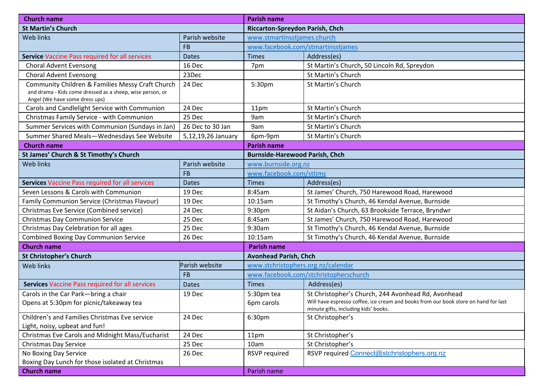| <b>Church name</b>                                                                                                                              |                    | <b>Parish name</b>                    |                                                                                                                                                                                   |
|-------------------------------------------------------------------------------------------------------------------------------------------------|--------------------|---------------------------------------|-----------------------------------------------------------------------------------------------------------------------------------------------------------------------------------|
| <b>St Martin's Church</b>                                                                                                                       |                    | Riccarton-Spreydon Parish, Chch       |                                                                                                                                                                                   |
| Web links                                                                                                                                       | Parish website     | www.stmartinsstjames.church           |                                                                                                                                                                                   |
|                                                                                                                                                 | <b>FB</b>          |                                       | www.facebook.com/stmartinsstjames                                                                                                                                                 |
| Service Vaccine Pass required for all services                                                                                                  | <b>Dates</b>       | <b>Times</b>                          | Address(es)                                                                                                                                                                       |
| <b>Choral Advent Evensong</b>                                                                                                                   | 16 Dec             | 7pm                                   | St Martin's Church, 50 Lincoln Rd, Spreydon                                                                                                                                       |
| <b>Choral Advent Evensong</b>                                                                                                                   | 23Dec              |                                       | St Martin's Church                                                                                                                                                                |
| Community Children & Families Messy Craft Church<br>and drama - Kids come dressed as a sheep, wise person, or<br>Angel (We have some dress ups) | 24 Dec             | 5:30pm                                | St Martin's Church                                                                                                                                                                |
| Carols and Candlelight Service with Communion                                                                                                   | 24 Dec             | 11pm                                  | St Martin's Church                                                                                                                                                                |
| Christmas Family Service - with Communion                                                                                                       | 25 Dec             | 9am                                   | St Martin's Church                                                                                                                                                                |
| Summer Services with Communion (Sundays in Jan)                                                                                                 | 26 Dec to 30 Jan   | 9am                                   | St Martin's Church                                                                                                                                                                |
| Summer Shared Meals-Wednesdays See Website                                                                                                      | 5,12,19,26 January | 6pm-9pm                               | St Martin's Church                                                                                                                                                                |
| <b>Church name</b>                                                                                                                              |                    | <b>Parish name</b>                    |                                                                                                                                                                                   |
| St James' Church & St Timothy's Church                                                                                                          |                    | <b>Burnside-Harewood Parish, Chch</b> |                                                                                                                                                                                   |
| Web links                                                                                                                                       | Parish website     | www.burnside.org.nz                   |                                                                                                                                                                                   |
|                                                                                                                                                 | <b>FB</b>          | www.facebook.com/sttims               |                                                                                                                                                                                   |
| <b>Services Vaccine Pass required for all services</b>                                                                                          | <b>Dates</b>       | <b>Times</b>                          | Address(es)                                                                                                                                                                       |
| Seven Lessons & Carols with Communion                                                                                                           | 19 Dec             | 8:45am                                | St James' Church, 750 Harewood Road, Harewood                                                                                                                                     |
| <b>Family Communion Service (Christmas Flavour)</b>                                                                                             | 19 Dec             | 10:15am                               | St Timothy's Church, 46 Kendal Avenue, Burnside                                                                                                                                   |
| Christmas Eve Service (Combined service)                                                                                                        | 24 Dec             | 9:30pm                                | St Aidan's Church, 63 Brookside Terrace, Bryndwr                                                                                                                                  |
| Christmas Day Communion Service                                                                                                                 | 25 Dec             | 8:45am                                | St James' Church, 750 Harewood Road, Harewood                                                                                                                                     |
| Christmas Day Celebration for all ages                                                                                                          | 25 Dec             | 9:30am                                | St Timothy's Church, 46 Kendal Avenue, Burnside                                                                                                                                   |
| <b>Combined Boxing Day Communion Service</b>                                                                                                    | 26 Dec             | 10:15am                               | St Timothy's Church, 46 Kendal Avenue, Burnside                                                                                                                                   |
| <b>Church name</b>                                                                                                                              |                    | Parish name                           |                                                                                                                                                                                   |
| <b>St Christopher's Church</b>                                                                                                                  |                    | <b>Avonhead Parish, Chch</b>          |                                                                                                                                                                                   |
| Web links                                                                                                                                       | Parish website     | www.stchristophers.org.nz/calendar    |                                                                                                                                                                                   |
|                                                                                                                                                 | <b>FB</b>          |                                       | www.facebook.com/stchristopherschurch                                                                                                                                             |
| Services Vaccine Pass required for all services                                                                                                 | <b>Dates</b>       | <b>Times</b>                          | Address(es)                                                                                                                                                                       |
| Carols in the Car Park-bring a chair<br>Opens at 5:30pm for picnic/takeaway tea                                                                 | 19 Dec             | 5:30pm tea<br>6pm carols              | St Christopher's Church, 244 Avonhead Rd, Avonhead<br>Will have espresso coffee, ice cream and books from our book store on hand for last<br>minute gifts, including kids' books. |
| Children's and Families Christmas Eve service<br>Light, noisy, upbeat and fun!                                                                  | 24 Dec             | 6:30pm                                | St Christopher's                                                                                                                                                                  |
| Christmas Eve Carols and Midnight Mass/Eucharist                                                                                                | 24 Dec             | 11pm                                  | St Christopher's                                                                                                                                                                  |
| Christmas Day Service                                                                                                                           | 25 Dec             | 10am                                  | St Christopher's                                                                                                                                                                  |
| No Boxing Day Service                                                                                                                           | 26 Dec             | RSVP required                         | RSVP required Connect@stchristophers.org.nz                                                                                                                                       |
| Boxing Day Lunch for those isolated at Christmas                                                                                                |                    |                                       |                                                                                                                                                                                   |
| <b>Church name</b>                                                                                                                              |                    | Parish name                           |                                                                                                                                                                                   |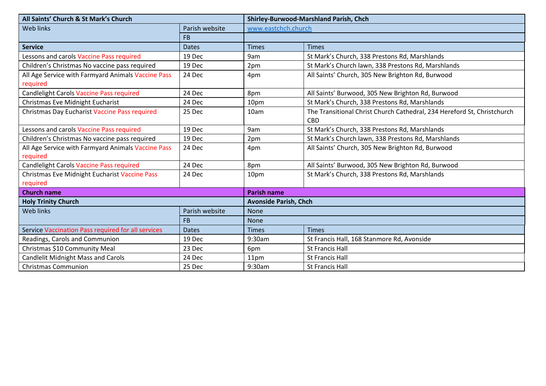| All Saints' Church & St Mark's Church              |                | Shirley-Burwood-Marshland Parish, Chch |                                                                                       |  |
|----------------------------------------------------|----------------|----------------------------------------|---------------------------------------------------------------------------------------|--|
| <b>Web links</b>                                   | Parish website | www.eastchch.church                    |                                                                                       |  |
|                                                    | <b>FB</b>      |                                        |                                                                                       |  |
| <b>Service</b>                                     | <b>Dates</b>   | <b>Times</b>                           | <b>Times</b>                                                                          |  |
| Lessons and carols Vaccine Pass required           | 19 Dec         | 9am                                    | St Mark's Church, 338 Prestons Rd, Marshlands                                         |  |
| Children's Christmas No vaccine pass required      | 19 Dec         | 2pm                                    | St Mark's Church lawn, 338 Prestons Rd, Marshlands                                    |  |
| All Age Service with Farmyard Animals Vaccine Pass | 24 Dec         | 4pm                                    | All Saints' Church, 305 New Brighton Rd, Burwood                                      |  |
| required                                           |                |                                        |                                                                                       |  |
| <b>Candlelight Carols Vaccine Pass required</b>    | 24 Dec         | 8pm                                    | All Saints' Burwood, 305 New Brighton Rd, Burwood                                     |  |
| Christmas Eve Midnight Eucharist                   | 24 Dec         | 10pm                                   | St Mark's Church, 338 Prestons Rd, Marshlands                                         |  |
| Christmas Day Eucharist Vaccine Pass required      | 25 Dec         | 10am                                   | The Transitional Christ Church Cathedral, 234 Hereford St, Christchurch<br><b>CBD</b> |  |
| Lessons and carols Vaccine Pass required           | 19 Dec         | 9am                                    | St Mark's Church, 338 Prestons Rd, Marshlands                                         |  |
| Children's Christmas No vaccine pass required      | 19 Dec         | 2pm                                    | St Mark's Church lawn, 338 Prestons Rd, Marshlands                                    |  |
| All Age Service with Farmyard Animals Vaccine Pass | 24 Dec         | 4pm                                    | All Saints' Church, 305 New Brighton Rd, Burwood                                      |  |
| required                                           |                |                                        |                                                                                       |  |
| <b>Candlelight Carols Vaccine Pass required</b>    | 24 Dec         | 8pm                                    | All Saints' Burwood, 305 New Brighton Rd, Burwood                                     |  |
| Christmas Eve Midnight Eucharist Vaccine Pass      | 24 Dec         | 10pm                                   | St Mark's Church, 338 Prestons Rd, Marshlands                                         |  |
| required                                           |                |                                        |                                                                                       |  |
| <b>Church name</b>                                 |                | <b>Parish name</b>                     |                                                                                       |  |
| <b>Holy Trinity Church</b>                         |                | <b>Avonside Parish, Chch</b>           |                                                                                       |  |
| <b>Web links</b>                                   | Parish website | <b>None</b>                            |                                                                                       |  |
|                                                    | <b>FB</b>      | <b>None</b>                            |                                                                                       |  |
| Service Vaccination Pass required for all services | <b>Dates</b>   | <b>Times</b>                           | <b>Times</b>                                                                          |  |
| Readings, Carols and Communion                     | 19 Dec         | 9:30am                                 | St Francis Hall, 168 Stanmore Rd, Avonside                                            |  |
| Christmas \$10 Community Meal                      | 23 Dec         | 6pm                                    | <b>St Francis Hall</b>                                                                |  |
| <b>Candlelit Midnight Mass and Carols</b>          | 24 Dec         | 11pm                                   | <b>St Francis Hall</b>                                                                |  |
| <b>Christmas Communion</b>                         | 25 Dec         | 9:30am                                 | St Francis Hall                                                                       |  |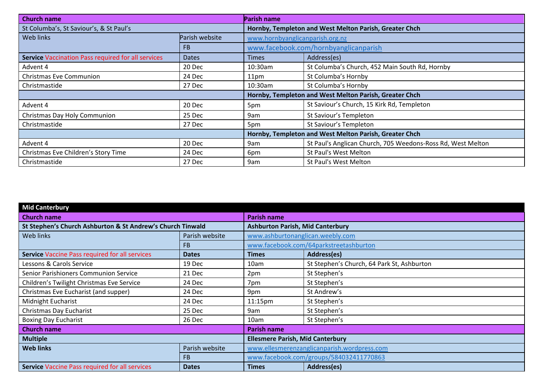| <b>Church name</b>                                 |                | <b>Parish name</b>                                     |                                                             |  |
|----------------------------------------------------|----------------|--------------------------------------------------------|-------------------------------------------------------------|--|
| St Columba's, St Saviour's, & St Paul's            |                |                                                        | Hornby, Templeton and West Melton Parish, Greater Chch      |  |
| Web links                                          | Parish website | www.hornbyanglicanparish.org.nz                        |                                                             |  |
|                                                    | <b>FB</b>      |                                                        | www.facebook.com/hornbyanglicanparish                       |  |
| Service Vaccination Pass required for all services | <b>Dates</b>   | <b>Times</b>                                           | Address(es)                                                 |  |
| Advent 4                                           | 20 Dec         | 10:30am                                                | St Columba's Church, 452 Main South Rd, Hornby              |  |
| <b>Christmas Eve Communion</b>                     | 24 Dec         | 11 <sub>pm</sub>                                       | St Columba's Hornby                                         |  |
| Christmastide                                      | 27 Dec         | 10:30am                                                | St Columba's Hornby                                         |  |
|                                                    |                |                                                        | Hornby, Templeton and West Melton Parish, Greater Chch      |  |
| Advent 4                                           | 20 Dec         | 5pm                                                    | St Saviour's Church, 15 Kirk Rd, Templeton                  |  |
| Christmas Day Holy Communion                       | 25 Dec         | 9am                                                    | St Saviour's Templeton                                      |  |
| Christmastide                                      | 27 Dec         | 5pm                                                    | St Saviour's Templeton                                      |  |
|                                                    |                | Hornby, Templeton and West Melton Parish, Greater Chch |                                                             |  |
| Advent 4                                           | 20 Dec         | 9am                                                    | St Paul's Anglican Church, 705 Weedons-Ross Rd, West Melton |  |
| Christmas Eve Children's Story Time                | 24 Dec         | 6pm                                                    | St Paul's West Melton                                       |  |
| Christmastide                                      | 27 Dec         | 9am                                                    | St Paul's West Melton                                       |  |

| <b>Mid Canterbury</b>                                      |                |                                         |                                             |
|------------------------------------------------------------|----------------|-----------------------------------------|---------------------------------------------|
| <b>Church name</b>                                         |                | <b>Parish name</b>                      |                                             |
| St Stephen's Church Ashburton & St Andrew's Church Tinwald |                | <b>Ashburton Parish, Mid Canterbury</b> |                                             |
| Web links                                                  | Parish website | www.ashburtonanglican.weebly.com        |                                             |
|                                                            | <b>FB</b>      |                                         | www.facebook.com/64parkstreetashburton      |
| Service Vaccine Pass required for all services             | <b>Dates</b>   | <b>Times</b>                            | Address(es)                                 |
| Lessons & Carols Service                                   | 19 Dec         | 10am                                    | St Stephen's Church, 64 Park St, Ashburton  |
| Senior Parishioners Communion Service                      | 21 Dec         | 2pm                                     | St Stephen's                                |
| Children's Twilight Christmas Eve Service                  | 24 Dec         | 7pm                                     | St Stephen's                                |
| Christmas Eve Eucharist (and supper)                       | 24 Dec         | 9pm                                     | St Andrew's                                 |
| Midnight Eucharist                                         | 24 Dec         | 11:15pm                                 | St Stephen's                                |
| Christmas Day Eucharist                                    | 25 Dec         | 9am                                     | St Stephen's                                |
| <b>Boxing Day Eucharist</b>                                | 26 Dec         | 10am                                    | St Stephen's                                |
| <b>Church name</b>                                         |                | <b>Parish name</b>                      |                                             |
| <b>Multiple</b>                                            |                | <b>Ellesmere Parish, Mid Canterbury</b> |                                             |
| <b>Web links</b>                                           | Parish website |                                         | www.ellesmerenzanglicanparish.wordpress.com |
|                                                            | <b>FB</b>      |                                         | www.facebook.com/groups/584032411770863     |
| <b>Service Vaccine Pass required for all services</b>      | <b>Dates</b>   | <b>Times</b>                            | Address(es)                                 |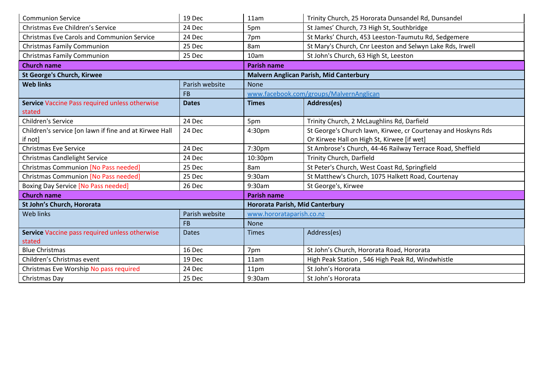| <b>Communion Service</b>                               | 19 Dec         | 11am                            | Trinity Church, 25 Hororata Dunsandel Rd, Dunsandel           |
|--------------------------------------------------------|----------------|---------------------------------|---------------------------------------------------------------|
| Christmas Eve Children's Service                       | 24 Dec         | 5pm                             | St James' Church, 73 High St, Southbridge                     |
| <b>Christmas Eve Carols and Communion Service</b>      | 24 Dec         | 7pm                             | St Marks' Church, 453 Leeston-Taumutu Rd, Sedgemere           |
| <b>Christmas Family Communion</b>                      | 25 Dec         | 8am                             | St Mary's Church, Cnr Leeston and Selwyn Lake Rds, Irwell     |
| <b>Christmas Family Communion</b>                      | 25 Dec         | 10am                            | St John's Church, 63 High St, Leeston                         |
| <b>Church name</b>                                     |                | <b>Parish name</b>              |                                                               |
| <b>St George's Church, Kirwee</b>                      |                |                                 | <b>Malvern Anglican Parish, Mid Canterbury</b>                |
| <b>Web links</b>                                       | Parish website | <b>None</b>                     |                                                               |
|                                                        | <b>FB</b>      |                                 | www.facebook.com/groups/MalvernAnglican                       |
| Service Vaccine Pass required unless otherwise         | <b>Dates</b>   | <b>Times</b>                    | Address(es)                                                   |
| stated                                                 |                |                                 |                                                               |
| <b>Children's Service</b>                              | 24 Dec         | 5pm                             | Trinity Church, 2 McLaughlins Rd, Darfield                    |
| Children's service [on lawn if fine and at Kirwee Hall | 24 Dec         | 4:30pm                          | St George's Church lawn, Kirwee, cr Courtenay and Hoskyns Rds |
| if not]                                                |                |                                 | Or Kirwee Hall on High St, Kirwee [if wet]                    |
| <b>Christmas Eve Service</b>                           | 24 Dec         | 7:30pm                          | St Ambrose's Church, 44-46 Railway Terrace Road, Sheffield    |
| <b>Christmas Candlelight Service</b>                   | 24 Dec         | 10:30pm                         | Trinity Church, Darfield                                      |
| <b>Christmas Communion [No Pass needed]</b>            | 25 Dec         | 8am                             | St Peter's Church, West Coast Rd, Springfield                 |
| <b>Christmas Communion [No Pass needed]</b>            | 25 Dec         | 9:30am                          | St Matthew's Church, 1075 Halkett Road, Courtenay             |
| <b>Boxing Day Service [No Pass needed]</b>             | 26 Dec         | 9:30am                          | St George's, Kirwee                                           |
| <b>Church name</b>                                     |                | <b>Parish name</b>              |                                                               |
| St John's Church, Hororata                             |                | Hororata Parish, Mid Canterbury |                                                               |
| <b>Web links</b>                                       | Parish website | www.hororataparish.co.nz        |                                                               |
|                                                        | <b>FB</b>      | <b>None</b>                     |                                                               |
| Service Vaccine pass required unless otherwise         | <b>Dates</b>   | <b>Times</b>                    | Address(es)                                                   |
| stated                                                 |                |                                 |                                                               |
| <b>Blue Christmas</b>                                  | 16 Dec         | 7pm                             | St John's Church, Hororata Road, Hororata                     |
| Children's Christmas event                             | 19 Dec         | 11am                            | High Peak Station, 546 High Peak Rd, Windwhistle              |
| Christmas Eve Worship No pass required                 | 24 Dec         | 11pm                            | St John's Hororata                                            |
| Christmas Day                                          | 25 Dec         | 9:30am                          | St John's Hororata                                            |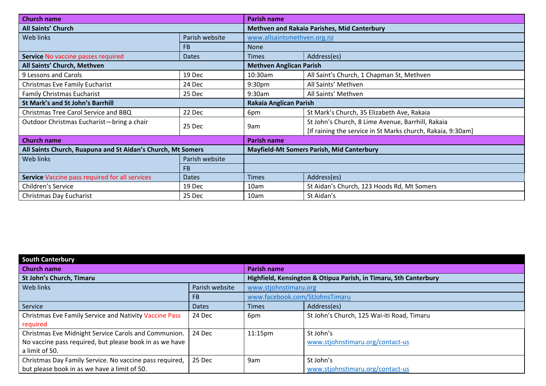| <b>Church name</b>                                          |                | <b>Parish name</b>                               |                                                             |
|-------------------------------------------------------------|----------------|--------------------------------------------------|-------------------------------------------------------------|
| <b>All Saints' Church</b>                                   |                | Methven and Rakaia Parishes, Mid Canterbury      |                                                             |
| Web links                                                   | Parish website | www.allsaintsmethven.org.nz<br>None              |                                                             |
|                                                             | FB             |                                                  |                                                             |
| Service No vaccine passes required                          | <b>Dates</b>   | <b>Times</b>                                     | Address(es)                                                 |
| All Saints' Church, Methven                                 |                | <b>Methven Anglican Parish</b>                   |                                                             |
| 9 Lessons and Carols                                        | 19 Dec         | 10:30am                                          | All Saint's Church, 1 Chapman St, Methven                   |
| Christmas Eve Family Eucharist                              | 24 Dec         | 9:30 <sub>pm</sub>                               | All Saints' Methven                                         |
| <b>Family Christmas Eucharist</b>                           | 25 Dec         | 9:30am                                           | All Saints' Methven                                         |
| St Mark's and St John's Barrhill                            |                | Rakaia Anglican Parish                           |                                                             |
| Christmas Tree Carol Service and BBQ                        | 22 Dec         | 6pm                                              | St Mark's Church, 35 Elizabeth Ave, Rakaia                  |
| Outdoor Christmas Eucharist-bring a chair                   | 25 Dec         | 9am                                              | St John's Church, 8 Lime Avenue, Barrhill, Rakaia           |
|                                                             |                |                                                  | [If raining the service in St Marks church, Rakaia, 9:30am] |
| <b>Church name</b>                                          |                | Parish name                                      |                                                             |
| All Saints Church, Ruapuna and St Aidan's Church, Mt Somers |                | <b>Mayfield-Mt Somers Parish, Mid Canterbury</b> |                                                             |
| Web links                                                   | Parish website |                                                  |                                                             |
|                                                             | <b>FB</b>      |                                                  |                                                             |
| Service Vaccine pass required for all services              | <b>Dates</b>   | <b>Times</b>                                     | Address(es)                                                 |
| Children's Service                                          | 19 Dec         | 10am                                             | St Aidan's Church, 123 Hoods Rd, Mt Somers                  |
| Christmas Day Eucharist                                     | 25 Dec         | 10am                                             | St Aidan's                                                  |

| <b>South Canterbury</b>                                 |                |                                                                  |                                            |  |  |
|---------------------------------------------------------|----------------|------------------------------------------------------------------|--------------------------------------------|--|--|
| <b>Church name</b>                                      |                | <b>Parish name</b>                                               |                                            |  |  |
| <b>St John's Church, Timaru</b>                         |                | Highfield, Kensington & Otipua Parish, in Timaru, Sth Canterbury |                                            |  |  |
| <b>Web links</b>                                        | Parish website | www.stjohnstimaru.org<br>www.facebook.com/StJohnsTimaru          |                                            |  |  |
|                                                         | FB.            |                                                                  |                                            |  |  |
| Service                                                 | <b>Dates</b>   | <b>Times</b>                                                     | Address(es)                                |  |  |
| Christmas Eve Family Service and Nativity Vaccine Pass  | 24 Dec         | 6pm                                                              | St John's Church, 125 Wai-iti Road, Timaru |  |  |
| required                                                |                |                                                                  |                                            |  |  |
| Christmas Eve Midnight Service Carols and Communion.    | 24 Dec         | $11:15$ pm                                                       | St John's                                  |  |  |
| No vaccine pass required, but please book in as we have |                |                                                                  | www.stjohnstimaru.org/contact-us           |  |  |
| a limit of 50.                                          |                |                                                                  |                                            |  |  |
| Christmas Day Family Service. No vaccine pass required, | 25 Dec         | 9am                                                              | St John's                                  |  |  |
| but please book in as we have a limit of 50.            |                |                                                                  | www.stjohnstimaru.org/contact-us           |  |  |